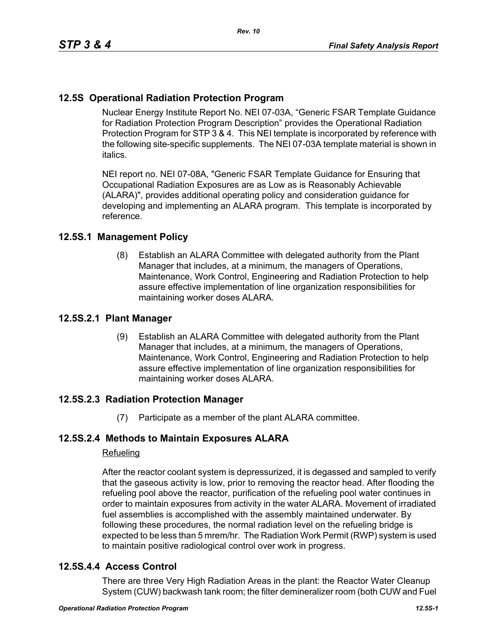# **12.5S Operational Radiation Protection Program**

Nuclear Energy Institute Report No. NEI 07-03A, "Generic FSAR Template Guidance for Radiation Protection Program Description" provides the Operational Radiation Protection Program for STP 3 & 4. This NEI template is incorporated by reference with the following site-specific supplements. The NEI 07-03A template material is shown in italics.

NEI report no. NEI 07-08A, "Generic FSAR Template Guidance for Ensuring that Occupational Radiation Exposures are as Low as is Reasonably Achievable (ALARA)", provides additional operating policy and consideration guidance for developing and implementing an ALARA program. This template is incorporated by reference.

## **12.5S.1 Management Policy**

(8) Establish an ALARA Committee with delegated authority from the Plant Manager that includes, at a minimum, the managers of Operations, Maintenance, Work Control, Engineering and Radiation Protection to help assure effective implementation of line organization responsibilities for maintaining worker doses ALARA.

## **12.5S.2.1 Plant Manager**

(9) Establish an ALARA Committee with delegated authority from the Plant Manager that includes, at a minimum, the managers of Operations, Maintenance, Work Control, Engineering and Radiation Protection to help assure effective implementation of line organization responsibilities for maintaining worker doses ALARA.

## **12.5S.2.3 Radiation Protection Manager**

(7) Participate as a member of the plant ALARA committee.

## **12.5S.2.4 Methods to Maintain Exposures ALARA**

#### Refueling

After the reactor coolant system is depressurized, it is degassed and sampled to verify that the gaseous activity is low, prior to removing the reactor head. After flooding the refueling pool above the reactor, purification of the refueling pool water continues in order to maintain exposures from activity in the water ALARA. Movement of irradiated fuel assemblies is accomplished with the assembly maintained underwater. By following these procedures, the normal radiation level on the refueling bridge is expected to be less than 5 mrem/hr. The Radiation Work Permit (RWP) system is used to maintain positive radiological control over work in progress.

## **12.5S.4.4 Access Control**

There are three Very High Radiation Areas in the plant: the Reactor Water Cleanup System (CUW) backwash tank room; the filter demineralizer room (both CUW and Fuel